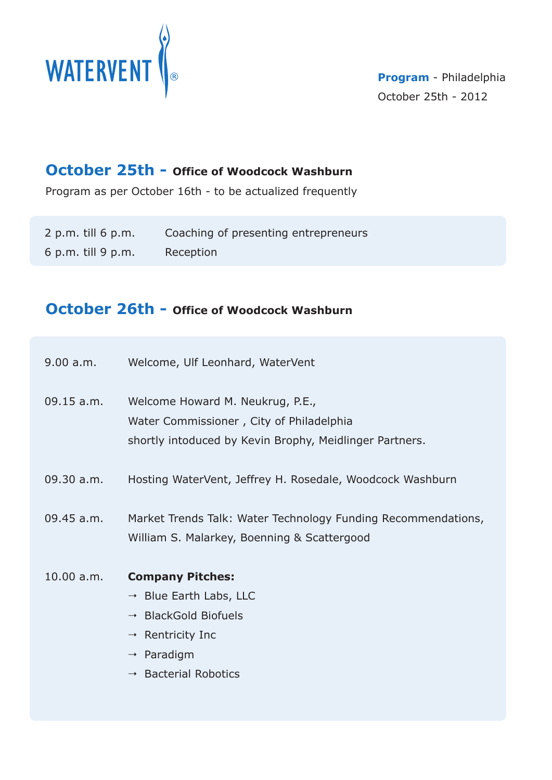

## **October 25th - Office of Woodcock Washburn**

Program as per October 16th - to be actualized frequently

| $2$ p.m. till 6 p.m. | Coaching of presenting entrepreneurs |
|----------------------|--------------------------------------|
| $6$ p.m. till 9 p.m. | Reception                            |

# **October 26th - Office of Woodcock Washburn**

| 9.00 a.m.    | Welcome, Ulf Leonhard, WaterVent |
|--------------|----------------------------------|
| $09.15$ a.m. | Welcome Howard M. Neukrug, P.E., |

Water Commissioner , City of Philadelphia shortly intoduced by Kevin Brophy, Meidlinger Partners.

- 09.30 a.m. Hosting WaterVent, Jeffrey H. Rosedale, Woodcock Washburn
- 09.45 a.m. Market Trends Talk: Water Technology Funding Recommendations, William S. Malarkey, Boenning & Scattergood
- 10.00 a.m. **Company Pitches:**
	- → Blue Earth Labs, LLC
	- <sup>→</sup> BlackGold Biofuels
	- → Rentricity Inc
	- $\rightarrow$  Paradigm
	- → Bacterial Robotics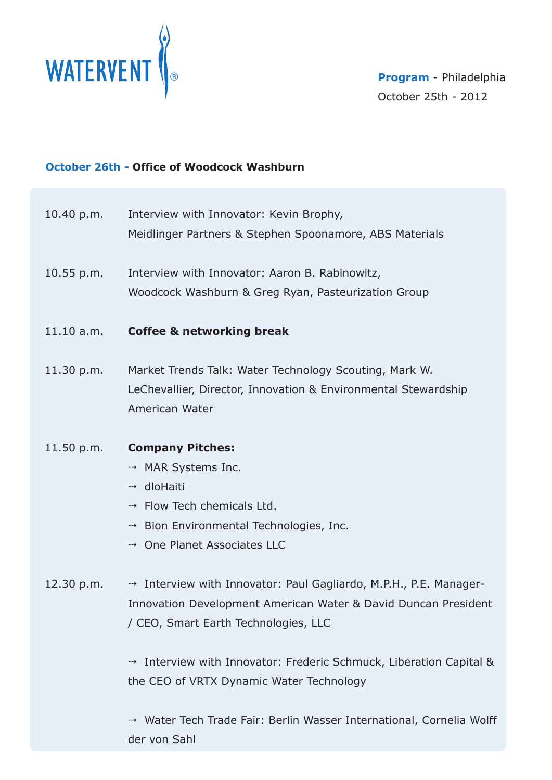

### **October 26th - Office of Woodcock Washburn**

- 10.40 p.m. Interview with Innovator: Kevin Brophy, Meidlinger Partners & Stephen Spoonamore, ABS Materials
- 10.55 p.m. Interview with Innovator: Aaron B. Rabinowitz, Woodcock Washburn & Greg Ryan, Pasteurization Group
- 11.10 a.m. **Coffee & networking break**
- 11.30 p.m. Market Trends Talk: Water Technology Scouting, Mark W. LeChevallier, Director, Innovation & Environmental Stewardship American Water
- 11.50 p.m. **Company Pitches:**
	- → MAR Systems Inc.
	- → dloHaiti
	- $\rightarrow$  Flow Tech chemicals Ltd.
	- Bion Environmental Technologies, Inc.
	- One Planet Associates LLC
- 12.30 p.m. → Interview with Innovator: Paul Gagliardo, M.P.H., P.E. Manager-Innovation Development American Water & David Duncan President / CEO, Smart Earth Technologies, LLC

 Interview with Innovator: Frederic Schmuck, Liberation Capital & the CEO of VRTX Dynamic Water Technology

 Water Tech Trade Fair: Berlin Wasser International, Cornelia Wolff der von Sahl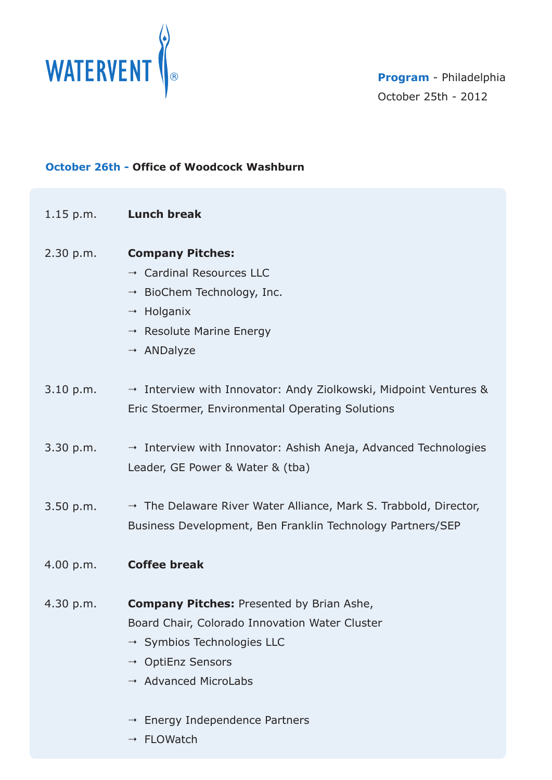

#### **October 26th - Office of Woodcock Washburn**

| $1.15$ p.m. | <b>Lunch break</b>                                                 |
|-------------|--------------------------------------------------------------------|
| 2.30 p.m.   | <b>Company Pitches:</b>                                            |
|             | → Cardinal Resources LLC                                           |
|             | <sup>--+</sup> BioChem Technology, Inc.                            |
|             | → Holganix                                                         |
|             | → Resolute Marine Energy                                           |
|             | → ANDalyze                                                         |
| 3.10 p.m.   | The Interview with Innovator: Andy Ziolkowski, Midpoint Ventures & |
|             | Eric Stoermer, Environmental Operating Solutions                   |
| 3.30 p.m.   | A Interview with Innovator: Ashish Aneja, Advanced Technologies    |
|             | Leader, GE Power & Water & (tba)                                   |
| 3.50 p.m.   | → The Delaware River Water Alliance, Mark S. Trabbold, Director,   |
|             | Business Development, Ben Franklin Technology Partners/SEP         |
| 4.00 p.m.   | <b>Coffee break</b>                                                |
| 4.30 p.m.   | <b>Company Pitches: Presented by Brian Ashe,</b>                   |
|             | Board Chair, Colorado Innovation Water Cluster                     |
|             | → Symbios Technologies LLC                                         |
|             | → OptiEnz Sensors                                                  |
|             | → Advanced MicroLabs                                               |
|             | Energy Independence Partners<br>…→                                 |
|             | FLOWatch<br>…→                                                     |